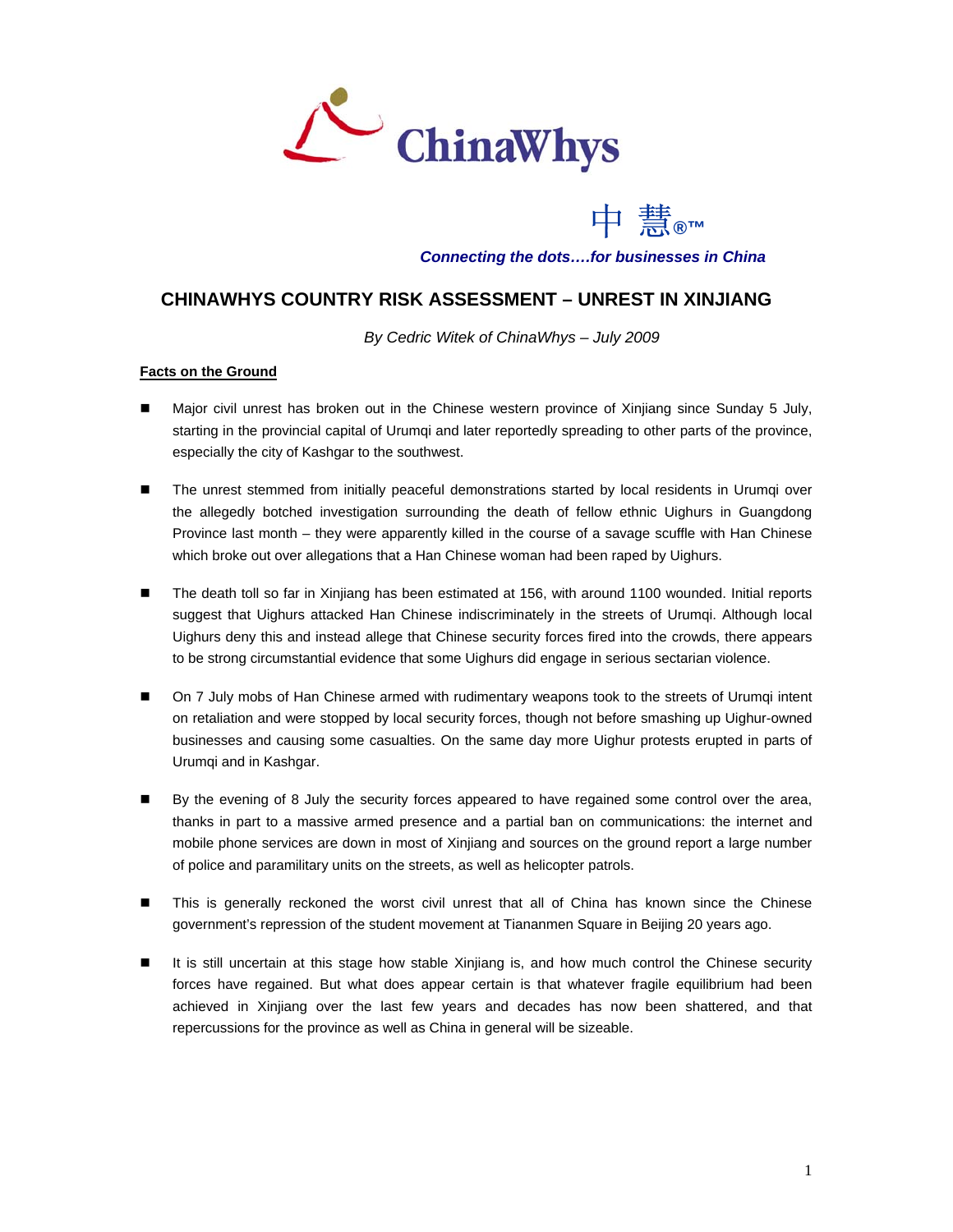



*Connecting the dots….for businesses in China*

## **CHINAWHYS COUNTRY RISK ASSESSMENT – UNREST IN XINJIANG**

*By Cedric Witek of ChinaWhys – July 2009* 

## **Facts on the Ground**

- Major civil unrest has broken out in the Chinese western province of Xinjiang since Sunday 5 July, starting in the provincial capital of Urumqi and later reportedly spreading to other parts of the province, especially the city of Kashgar to the southwest.
- The unrest stemmed from initially peaceful demonstrations started by local residents in Urumqi over the allegedly botched investigation surrounding the death of fellow ethnic Uighurs in Guangdong Province last month – they were apparently killed in the course of a savage scuffle with Han Chinese which broke out over allegations that a Han Chinese woman had been raped by Uighurs.
- The death toll so far in Xinjiang has been estimated at 156, with around 1100 wounded. Initial reports suggest that Uighurs attacked Han Chinese indiscriminately in the streets of Urumqi. Although local Uighurs deny this and instead allege that Chinese security forces fired into the crowds, there appears to be strong circumstantial evidence that some Uighurs did engage in serious sectarian violence.
- On 7 July mobs of Han Chinese armed with rudimentary weapons took to the streets of Urumqi intent on retaliation and were stopped by local security forces, though not before smashing up Uighur-owned businesses and causing some casualties. On the same day more Uighur protests erupted in parts of Urumqi and in Kashgar.
- By the evening of 8 July the security forces appeared to have regained some control over the area, thanks in part to a massive armed presence and a partial ban on communications: the internet and mobile phone services are down in most of Xinjiang and sources on the ground report a large number of police and paramilitary units on the streets, as well as helicopter patrols.
- This is generally reckoned the worst civil unrest that all of China has known since the Chinese government's repression of the student movement at Tiananmen Square in Beijing 20 years ago.
- It is still uncertain at this stage how stable Xinjiang is, and how much control the Chinese security forces have regained. But what does appear certain is that whatever fragile equilibrium had been achieved in Xinjiang over the last few years and decades has now been shattered, and that repercussions for the province as well as China in general will be sizeable.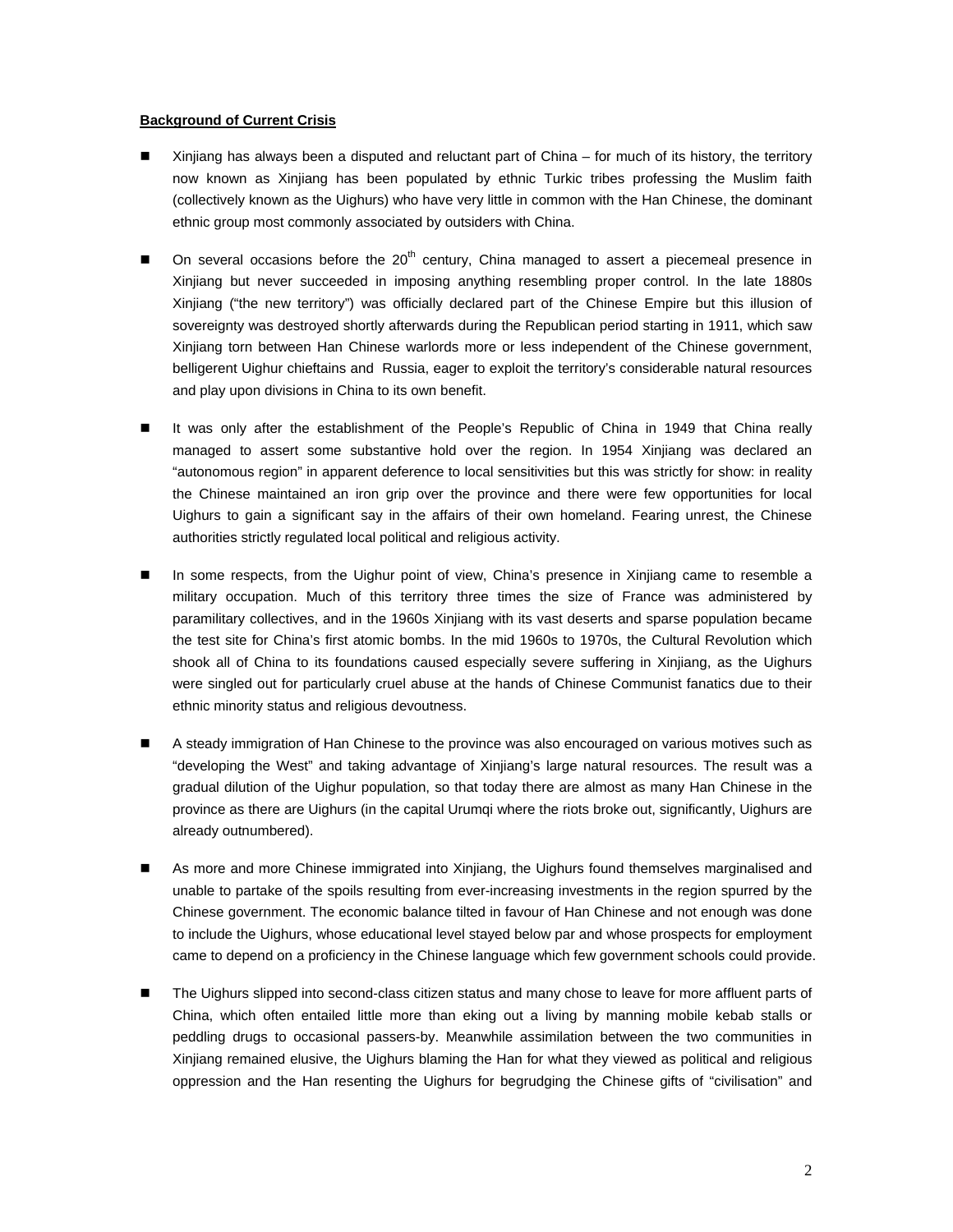## **Background of Current Crisis**

- Xinjiang has always been a disputed and reluctant part of China for much of its history, the territory now known as Xinjiang has been populated by ethnic Turkic tribes professing the Muslim faith (collectively known as the Uighurs) who have very little in common with the Han Chinese, the dominant ethnic group most commonly associated by outsiders with China.
- $\blacksquare$  On several occasions before the 20<sup>th</sup> century, China managed to assert a piecemeal presence in Xinjiang but never succeeded in imposing anything resembling proper control. In the late 1880s Xinjiang ("the new territory") was officially declared part of the Chinese Empire but this illusion of sovereignty was destroyed shortly afterwards during the Republican period starting in 1911, which saw Xinjiang torn between Han Chinese warlords more or less independent of the Chinese government, belligerent Uighur chieftains and Russia, eager to exploit the territory's considerable natural resources and play upon divisions in China to its own benefit.
- It was only after the establishment of the People's Republic of China in 1949 that China really managed to assert some substantive hold over the region. In 1954 Xinjiang was declared an "autonomous region" in apparent deference to local sensitivities but this was strictly for show: in reality the Chinese maintained an iron grip over the province and there were few opportunities for local Uighurs to gain a significant say in the affairs of their own homeland. Fearing unrest, the Chinese authorities strictly regulated local political and religious activity.
- In some respects, from the Uighur point of view, China's presence in Xinjiang came to resemble a military occupation. Much of this territory three times the size of France was administered by paramilitary collectives, and in the 1960s Xinjiang with its vast deserts and sparse population became the test site for China's first atomic bombs. In the mid 1960s to 1970s, the Cultural Revolution which shook all of China to its foundations caused especially severe suffering in Xinjiang, as the Uighurs were singled out for particularly cruel abuse at the hands of Chinese Communist fanatics due to their ethnic minority status and religious devoutness.
- A steady immigration of Han Chinese to the province was also encouraged on various motives such as "developing the West" and taking advantage of Xinjiang's large natural resources. The result was a gradual dilution of the Uighur population, so that today there are almost as many Han Chinese in the province as there are Uighurs (in the capital Urumqi where the riots broke out, significantly, Uighurs are already outnumbered).
- As more and more Chinese immigrated into Xinjiang, the Uighurs found themselves marginalised and unable to partake of the spoils resulting from ever-increasing investments in the region spurred by the Chinese government. The economic balance tilted in favour of Han Chinese and not enough was done to include the Uighurs, whose educational level stayed below par and whose prospects for employment came to depend on a proficiency in the Chinese language which few government schools could provide.
- The Uighurs slipped into second-class citizen status and many chose to leave for more affluent parts of China, which often entailed little more than eking out a living by manning mobile kebab stalls or peddling drugs to occasional passers-by. Meanwhile assimilation between the two communities in Xinjiang remained elusive, the Uighurs blaming the Han for what they viewed as political and religious oppression and the Han resenting the Uighurs for begrudging the Chinese gifts of "civilisation" and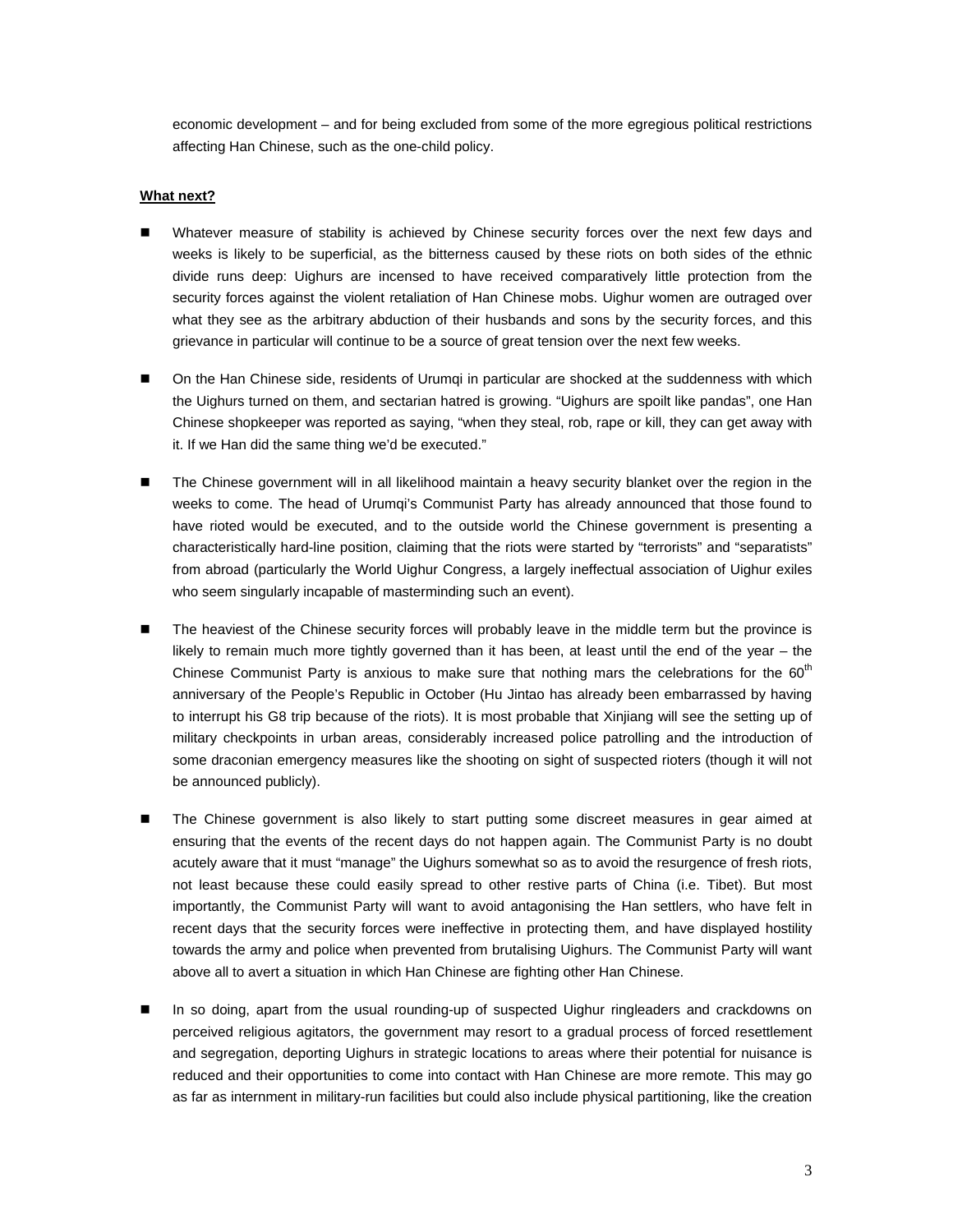economic development – and for being excluded from some of the more egregious political restrictions affecting Han Chinese, such as the one-child policy.

## **What next?**

- Whatever measure of stability is achieved by Chinese security forces over the next few days and weeks is likely to be superficial, as the bitterness caused by these riots on both sides of the ethnic divide runs deep: Uighurs are incensed to have received comparatively little protection from the security forces against the violent retaliation of Han Chinese mobs. Uighur women are outraged over what they see as the arbitrary abduction of their husbands and sons by the security forces, and this grievance in particular will continue to be a source of great tension over the next few weeks.
- On the Han Chinese side, residents of Urumqi in particular are shocked at the suddenness with which the Uighurs turned on them, and sectarian hatred is growing. "Uighurs are spoilt like pandas", one Han Chinese shopkeeper was reported as saying, "when they steal, rob, rape or kill, they can get away with it. If we Han did the same thing we'd be executed."
- The Chinese government will in all likelihood maintain a heavy security blanket over the region in the weeks to come. The head of Urumqi's Communist Party has already announced that those found to have rioted would be executed, and to the outside world the Chinese government is presenting a characteristically hard-line position, claiming that the riots were started by "terrorists" and "separatists" from abroad (particularly the World Uighur Congress, a largely ineffectual association of Uighur exiles who seem singularly incapable of masterminding such an event).
- The heaviest of the Chinese security forces will probably leave in the middle term but the province is likely to remain much more tightly governed than it has been, at least until the end of the year – the Chinese Communist Party is anxious to make sure that nothing mars the celebrations for the  $60<sup>th</sup>$ anniversary of the People's Republic in October (Hu Jintao has already been embarrassed by having to interrupt his G8 trip because of the riots). It is most probable that Xinjiang will see the setting up of military checkpoints in urban areas, considerably increased police patrolling and the introduction of some draconian emergency measures like the shooting on sight of suspected rioters (though it will not be announced publicly).
- **The Chinese government is also likely to start putting some discreet measures in gear aimed at** ensuring that the events of the recent days do not happen again. The Communist Party is no doubt acutely aware that it must "manage" the Uighurs somewhat so as to avoid the resurgence of fresh riots, not least because these could easily spread to other restive parts of China (i.e. Tibet). But most importantly, the Communist Party will want to avoid antagonising the Han settlers, who have felt in recent days that the security forces were ineffective in protecting them, and have displayed hostility towards the army and police when prevented from brutalising Uighurs. The Communist Party will want above all to avert a situation in which Han Chinese are fighting other Han Chinese.
- In so doing, apart from the usual rounding-up of suspected Uighur ringleaders and crackdowns on perceived religious agitators, the government may resort to a gradual process of forced resettlement and segregation, deporting Uighurs in strategic locations to areas where their potential for nuisance is reduced and their opportunities to come into contact with Han Chinese are more remote. This may go as far as internment in military-run facilities but could also include physical partitioning, like the creation